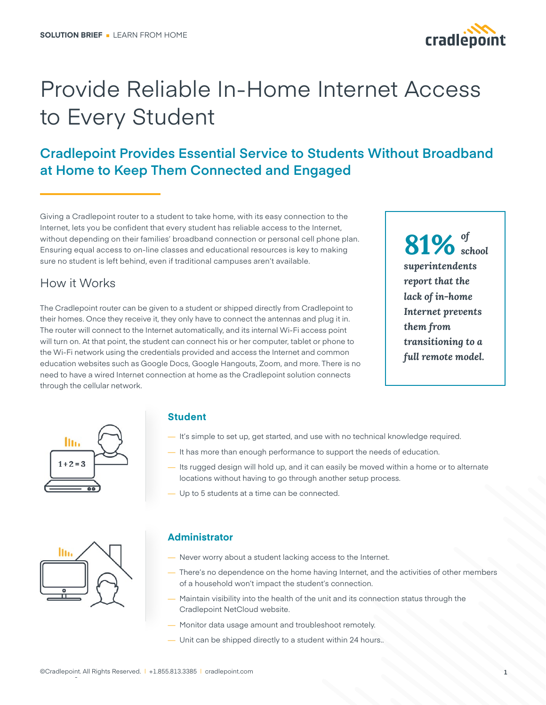

# Provide Reliable In-Home Internet Access to Every Student

## **Cradlepoint Provides Essential Service to Students Without Broadband at Home to Keep Them Connected and Engaged**

Giving a Cradlepoint router to a student to take home, with its easy connection to the Internet, lets you be confident that every student has reliable access to the Internet, without depending on their families' broadband connection or personal cell phone plan. Ensuring equal access to on-line classes and educational resources is key to making sure no student is left behind, even if traditional campuses aren't available.

### How it Works

The Cradlepoint router can be given to a student or shipped directly from Cradlepoint to their homes. Once they receive it, they only have to connect the antennas and plug it in. The router will connect to the Internet automatically, and its internal Wi-Fi access point will turn on. At that point, the student can connect his or her computer, tablet or phone to the Wi-Fi network using the credentials provided and access the Internet and common education websites such as Google Docs, Google Hangouts, Zoom, and more. There is no need to have a wired Internet connection at home as the Cradlepoint solution connects through the cellular network.

*of* **81%** *school superintendents report that the lack of in-home Internet prevents them from transitioning to a full remote model.*



#### **Student**

- It's simple to set up, get started, and use with no technical knowledge required.
- It has more than enough performance to support the needs of education.
- Its rugged design will hold up, and it can easily be moved within a home or to alternate locations without having to go through another setup process.
- Up to 5 students at a time can be connected.



#### **Administrator**

- Never worry about a student lacking access to the Internet.
- There's no dependence on the home having Internet, and the activities of other members of a household won't impact the student's connection.
- Maintain visibility into the health of the unit and its connection status through the Cradlepoint NetCloud website.
- Monitor data usage amount and troubleshoot remotely.
- Unit can be shipped directly to a student within 24 hours..